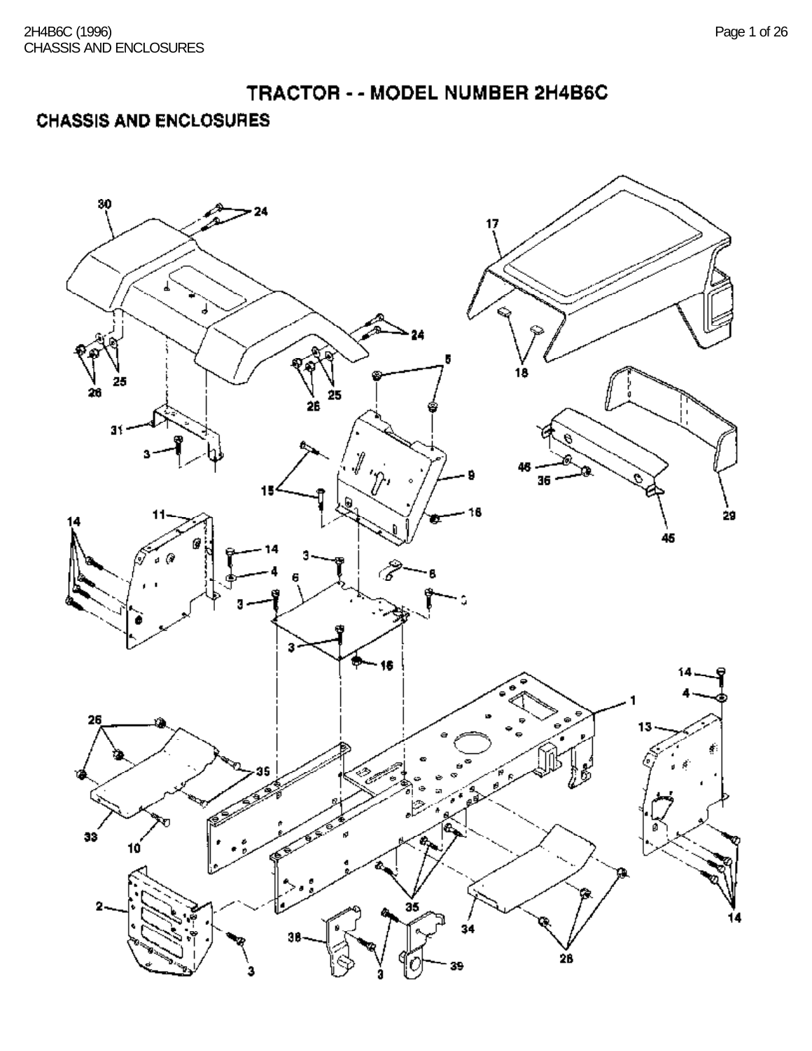# **CHASSIS AND ENCLOSURES**

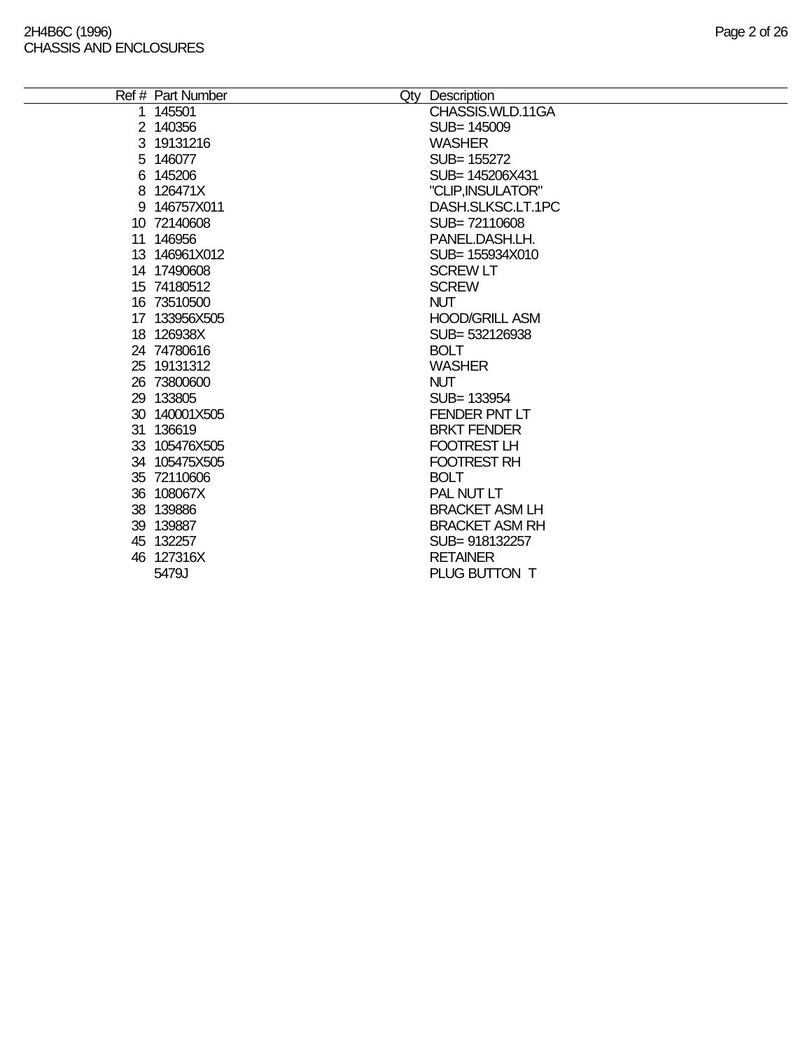$\overline{\phantom{0}}$ 

| Ref # Part Number | Qty Description       |
|-------------------|-----------------------|
| 1 145501          | CHASSIS.WLD.11GA      |
| 2 140356          | SUB= 145009           |
| 3 19131216        | <b>WASHER</b>         |
| 5 146077          | SUB= 155272           |
| 6 145206          | SUB= 145206X431       |
| 8 126471X         | "CLIP, INSULATOR"     |
| 9 146757X011      | DASH.SLKSC.LT.1PC     |
| 10 72140608       | SUB=72110608          |
| 11 146956         | PANEL.DASH.LH.        |
| 13 146961X012     | SUB= 155934X010       |
| 14 17490608       | <b>SCREW LT</b>       |
| 15 74180512       | <b>SCREW</b>          |
| 16 73510500       | <b>NUT</b>            |
| 17 133956X505     | <b>HOOD/GRILL ASM</b> |
| 18 126938X        | SUB= 532126938        |
| 24 74780616       | <b>BOLT</b>           |
| 25 19131312       | <b>WASHER</b>         |
| 26 73800600       | <b>NUT</b>            |
| 29 133805         | SUB= 133954           |
| 30 140001X505     | FENDER PNT LT         |
| 31 136619         | <b>BRKT FENDER</b>    |
| 33 105476X505     | FOOTREST LH           |
| 34 105475X505     | <b>FOOTREST RH</b>    |
| 35 72110606       | <b>BOLT</b>           |
| 36 108067X        | PAL NUT LT            |
| 38 139886         | <b>BRACKET ASM LH</b> |
| 39 139887         | <b>BRACKET ASM RH</b> |
| 45 132257         | SUB=918132257         |
| 46 127316X        | <b>RETAINER</b>       |
| 5479J             | PLUG BUTTON T         |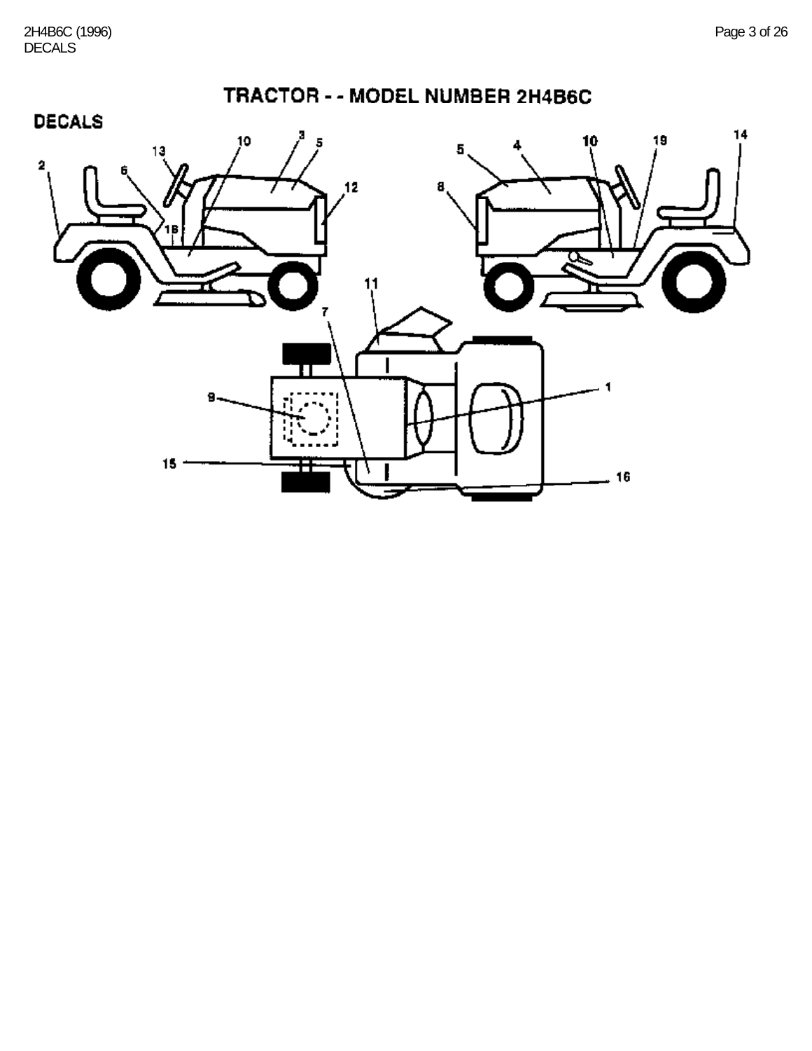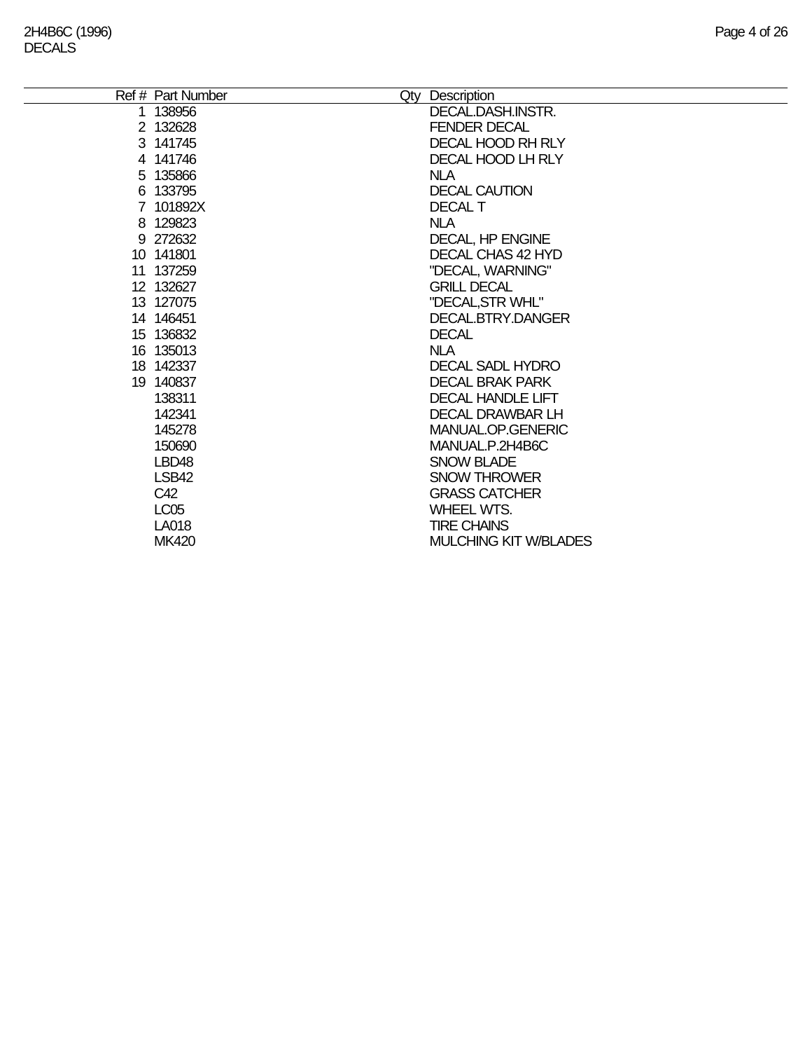| Ref # Part Number | Qty Description              |
|-------------------|------------------------------|
| 1 138956          | DECAL.DASH.INSTR.            |
| 2 132628          | <b>FENDER DECAL</b>          |
| 3 141745          | <b>DECAL HOOD RH RLY</b>     |
| 4 141746          | DECAL HOOD LH RLY            |
| 5 135866          | <b>NLA</b>                   |
| 6 133795          | <b>DECAL CAUTION</b>         |
| 7 101892X         | <b>DECAL T</b>               |
| 8 129823          | <b>NLA</b>                   |
| 9 272632          | <b>DECAL, HP ENGINE</b>      |
| 10 141801         | DECAL CHAS 42 HYD            |
| 11 137259         | "DECAL, WARNING"             |
| 12 132627         | <b>GRILL DECAL</b>           |
| 13 127075         | "DECAL, STR WHL"             |
| 14 14 64 51       | DECAL, BTRY, DANGER          |
| 15 136832         | <b>DECAL</b>                 |
| 16 135013         | <b>NLA</b>                   |
| 18 142337         | DECAL SADL HYDRO             |
| 19 140837         | <b>DECAL BRAK PARK</b>       |
| 138311            | <b>DECAL HANDLE LIFT</b>     |
| 142341            | <b>DECAL DRAWBAR LH</b>      |
| 145278            | MANUAL.OP.GENERIC            |
| 150690            | MANUAL.P.2H4B6C              |
| LBD <sub>48</sub> | <b>SNOW BLADE</b>            |
| LSB42             | <b>SNOW THROWER</b>          |
| C42               | <b>GRASS CATCHER</b>         |
| LC <sub>05</sub>  | WHEEL WTS.                   |
| LA018             | <b>TIRE CHAINS</b>           |
| <b>MK420</b>      | <b>MULCHING KIT W/BLADES</b> |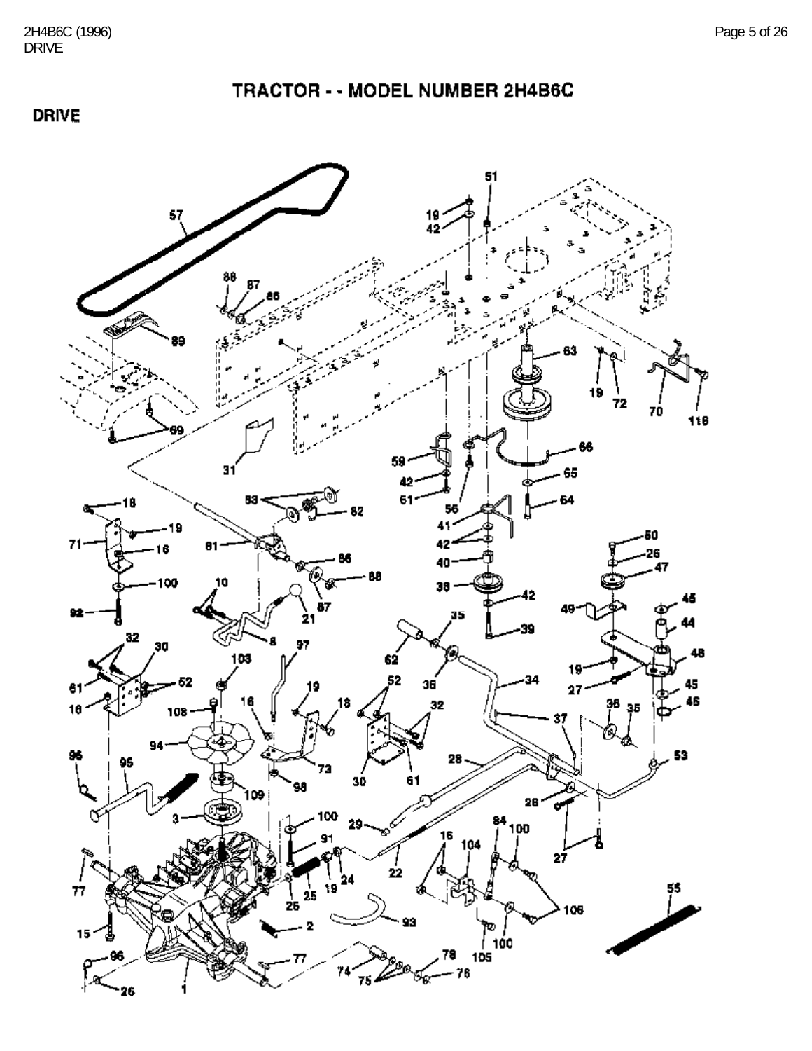#### **DRIVE**

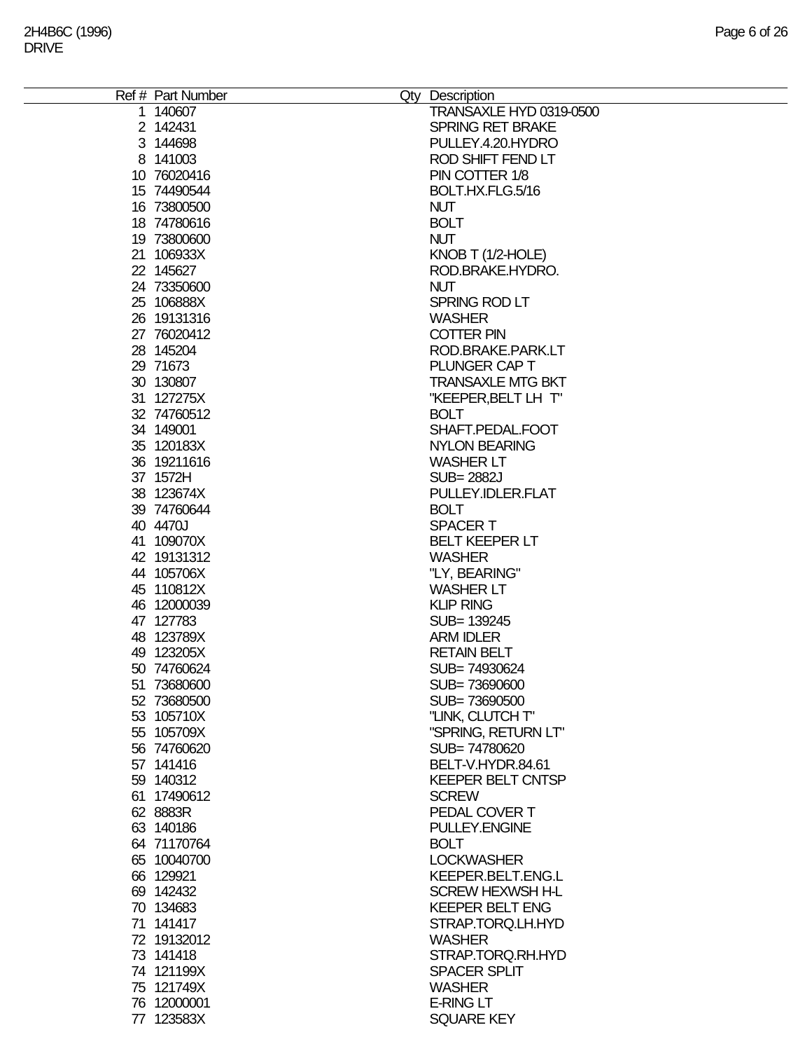| Ref # Part Number | Qty Description          |
|-------------------|--------------------------|
| 1 140607          | TRANSAXLE HYD 0319-0500  |
| 2 142431          | <b>SPRING RET BRAKE</b>  |
|                   |                          |
| 3 144698          | PULLEY.4.20.HYDRO        |
| 8 141003          | ROD SHIFT FEND LT        |
| 10 76020416       | PIN COTTER 1/8           |
| 15 74490544       | BOLT.HX.FLG.5/16         |
| 16 73800500       | <b>NUT</b>               |
|                   |                          |
| 18 74780616       | <b>BOLT</b>              |
| 19 73800600       | <b>NUT</b>               |
| 21 106933X        | KNOB T $(1/2$ -HOLE)     |
| 22 145627         | ROD.BRAKE.HYDRO.         |
| 24 73350600       | <b>NUT</b>               |
|                   |                          |
| 25 106888X        | SPRING ROD LT            |
| 26 19131316       | <b>WASHER</b>            |
| 27 76020412       | <b>COTTER PIN</b>        |
| 28 145204         | ROD.BRAKE.PARK.LT        |
| 29 71673          | PLUNGER CAP T            |
|                   |                          |
| 30 130807         | <b>TRANSAXLE MTG BKT</b> |
| 31 127275X        | "KEEPER, BELT LH T"      |
| 32 74760512       | <b>BOLT</b>              |
| 34 149001         | SHAFT.PEDAL.FOOT         |
| 35 120183X        | <b>NYLON BEARING</b>     |
|                   |                          |
| 36 19211616       | <b>WASHER LT</b>         |
| 37 1572H          | <b>SUB=2882J</b>         |
| 38 123674X        | PULLEY.IDLER.FLAT        |
| 39 74760644       | <b>BOLT</b>              |
| 40 4470J          | <b>SPACERT</b>           |
|                   |                          |
| 41 109070X        | <b>BELT KEEPER LT</b>    |
| 42 19131312       | <b>WASHER</b>            |
| 44 105706X        | "LY, BEARING"            |
| 45 110812X        | <b>WASHER LT</b>         |
| 46 12000039       | <b>KLIP RING</b>         |
|                   |                          |
| 47 127783         | SUB= 139245              |
| 48 123789X        | <b>ARM IDLER</b>         |
| 49 123205X        | <b>RETAIN BELT</b>       |
| 50 74760624       | SUB=74930624             |
| 51 73680600       | SUB=73690600             |
| 52 73680500       | SUB=73690500             |
|                   |                          |
| 53 105710X        | "LINK, CLUTCH T"         |
| 55 105709X        | "SPRING, RETURN LT"      |
| 56 74760620       | SUB=74780620             |
| 57 141416         | BELT-V.HYDR.84.61        |
| 59 140312         | <b>KEEPER BELT CNTSP</b> |
|                   |                          |
| 61 17490612       | <b>SCREW</b>             |
| 62 8883R          | PEDAL COVER T            |
| 63 140186         | PULLEY.ENGINE            |
| 64 71170764       | <b>BOLT</b>              |
| 65 10040700       | <b>LOCKWASHER</b>        |
| 66 129921         | KEEPER.BELT.ENG.L        |
|                   |                          |
| 69 142432         | <b>SCREW HEXWSH H-L</b>  |
| 70 134683         | <b>KEEPER BELT ENG</b>   |
| 71 141417         | STRAP.TORQ.LH.HYD        |
| 72 19132012       | <b>WASHER</b>            |
| 73 141418         | STRAP.TORQ.RH.HYD        |
|                   |                          |
| 74 121199X        | <b>SPACER SPLIT</b>      |
| 75 121749X        | <b>WASHER</b>            |
| 76 12000001       | <b>E-RING LT</b>         |
| 77 123583X        | <b>SQUARE KEY</b>        |
|                   |                          |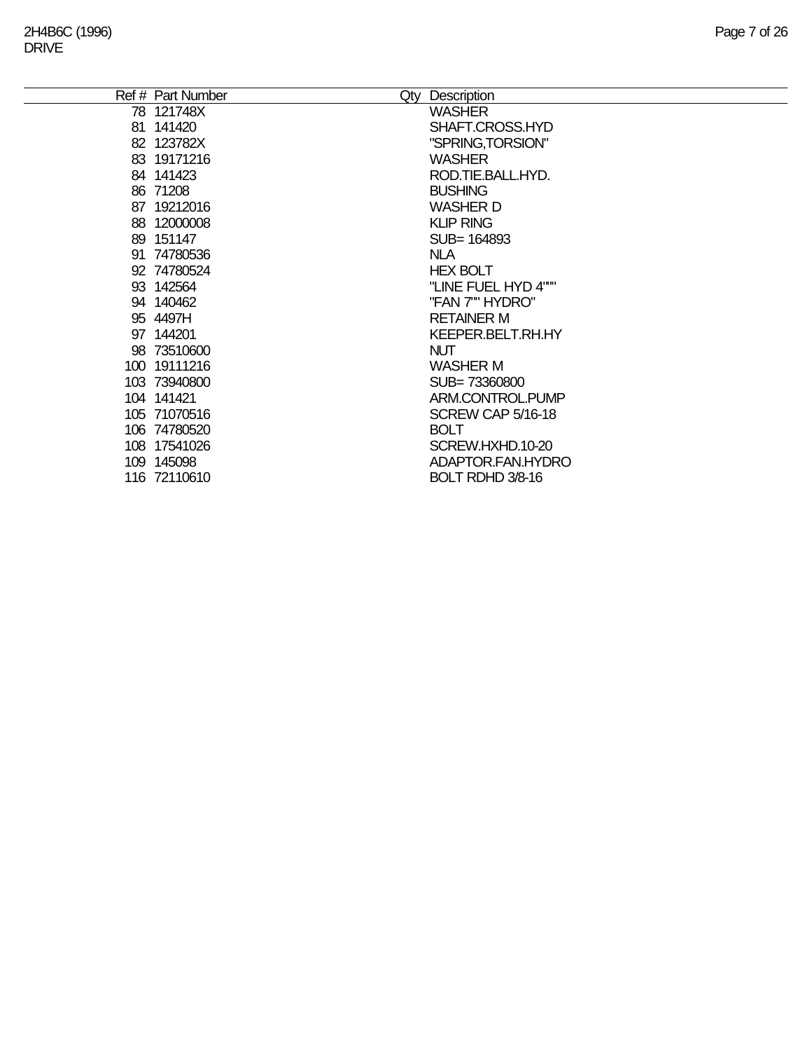÷,

| Ref # Part Number | Qty Description     |
|-------------------|---------------------|
| 78 121748X        | <b>WASHER</b>       |
| 81 141420         | SHAFT.CROSS.HYD     |
| 82 123782X        | "SPRING, TORSION"   |
| 83 19171216       | <b>WASHER</b>       |
| 84 141423         | ROD.TIE.BALL.HYD.   |
| 86 71208          | <b>BUSHING</b>      |
| 87 19212016       | <b>WASHER D</b>     |
| 88 12000008       | <b>KLIP RING</b>    |
| 89 151147         | SUB= 164893         |
| 91 74780536       | <b>NLA</b>          |
| 92 74780524       | <b>HEX BOLT</b>     |
| 93 142564         | "LINE FUEL HYD 4""" |
| 94 140462         | "FAN 7"" HYDRO"     |
| 95 4497H          | <b>RETAINER M</b>   |
| 97 144201         | KEEPER.BELT.RH.HY   |
| 98 73510600       | <b>NUT</b>          |
| 100 19111216      | <b>WASHER M</b>     |
| 103 73940800      | SUB=73360800        |
| 104 141421        | ARM.CONTROL.PUMP    |
| 105 71070516      | SCREW CAP 5/16-18   |
| 106 74780520      | <b>BOLT</b>         |
| 108 17541026      | SCREW.HXHD.10-20    |
| 109 145098        | ADAPTOR.FAN.HYDRO   |
| 116 72110610      | BOLT RDHD 3/8-16    |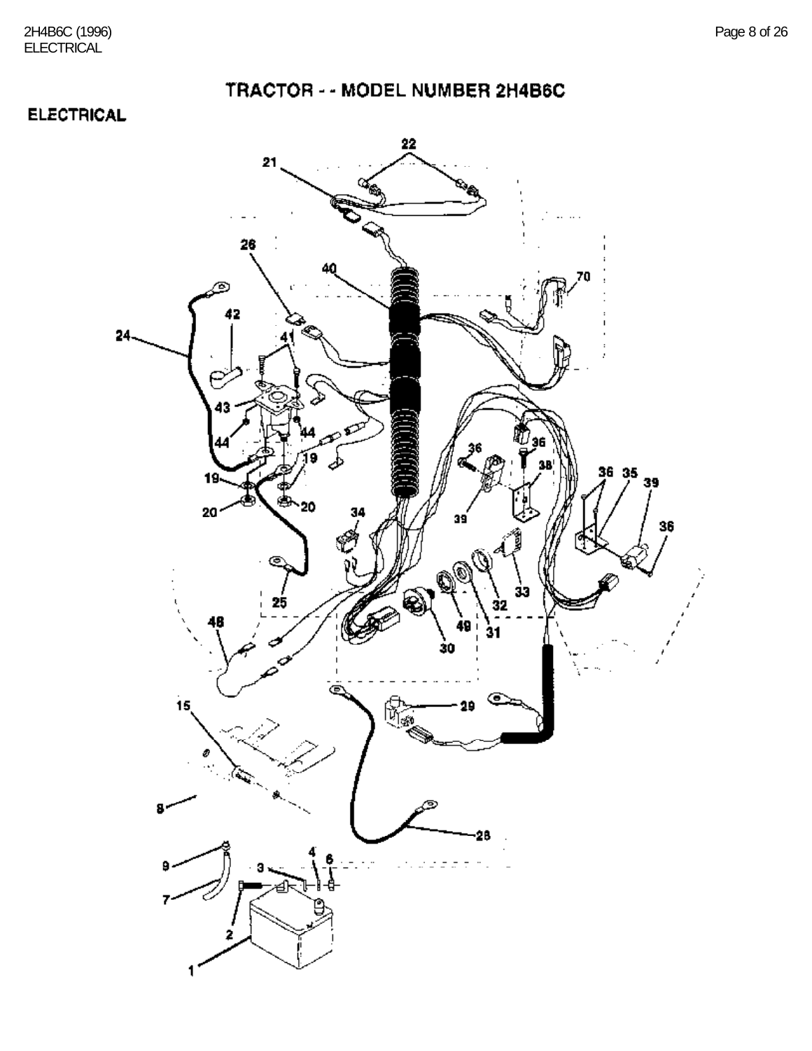#### **ELECTRICAL**

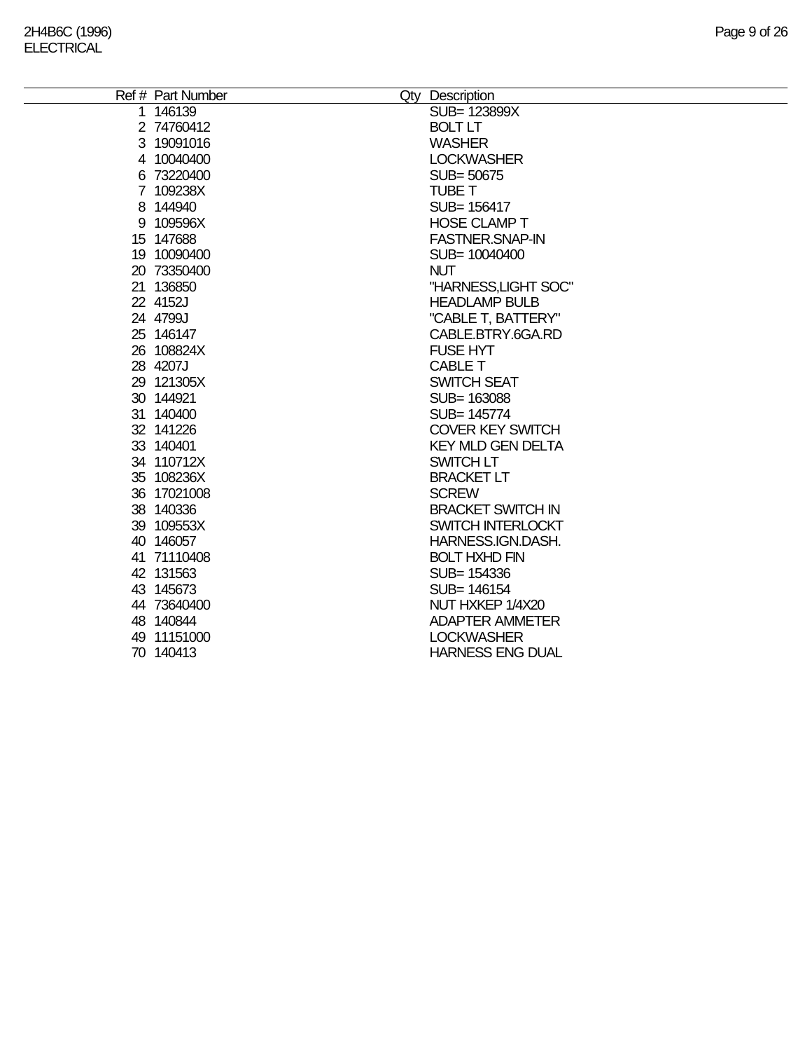| Ref # Part Number | Qty Description          |
|-------------------|--------------------------|
| 1 146139          | SUB= 123899X             |
| 2 74760412        | <b>BOLT LT</b>           |
| 3 19091016        | <b>WASHER</b>            |
| 4 10040400        | <b>LOCKWASHER</b>        |
| 6 73220400        | SUB= 50675               |
| 7 109238X         | <b>TUBE T</b>            |
| 8 144940          | SUB= 156417              |
| 9 109596X         | <b>HOSE CLAMP T</b>      |
| 15 147688         | <b>FASTNER.SNAP-IN</b>   |
| 19 10090400       | SUB= 10040400            |
| 20 73350400       | <b>NUT</b>               |
| 21 136850         | "HARNESS, LIGHT SOC"     |
| 22 4152J          | <b>HEADLAMP BULB</b>     |
| 24 4799J          | "CABLE T, BATTERY"       |
| 25 146147         | CABLE.BTRY.6GA.RD        |
| 26 108824X        | <b>FUSE HYT</b>          |
| 28 4207J          | CABLE T                  |
| 29 121305X        | <b>SWITCH SEAT</b>       |
| 30 144921         | SUB= 163088              |
| 31 140400         | SUB= 145774              |
| 32 141226         | <b>COVER KEY SWITCH</b>  |
| 33 140401         | <b>KEY MLD GEN DELTA</b> |
| 34 110712X        | SWITCH LT                |
| 35 108236X        | <b>BRACKET LT</b>        |
| 36 17021008       | <b>SCREW</b>             |
| 38 140336         | <b>BRACKET SWITCH IN</b> |
| 39 109553X        | SWITCH INTERLOCKT        |
| 40 146057         | HARNESS.IGN.DASH.        |
| 41 71110408       | <b>BOLT HXHD FIN</b>     |
| 42 131563         | SUB= 154336              |
| 43 145673         | SUB= 146154              |
| 44 73640400       | NUT HXKEP 1/4X20         |
| 48 140844         | <b>ADAPTER AMMETER</b>   |
| 49 11151000       | <b>LOCKWASHER</b>        |
| 70 140413         | <b>HARNESS ENG DUAL</b>  |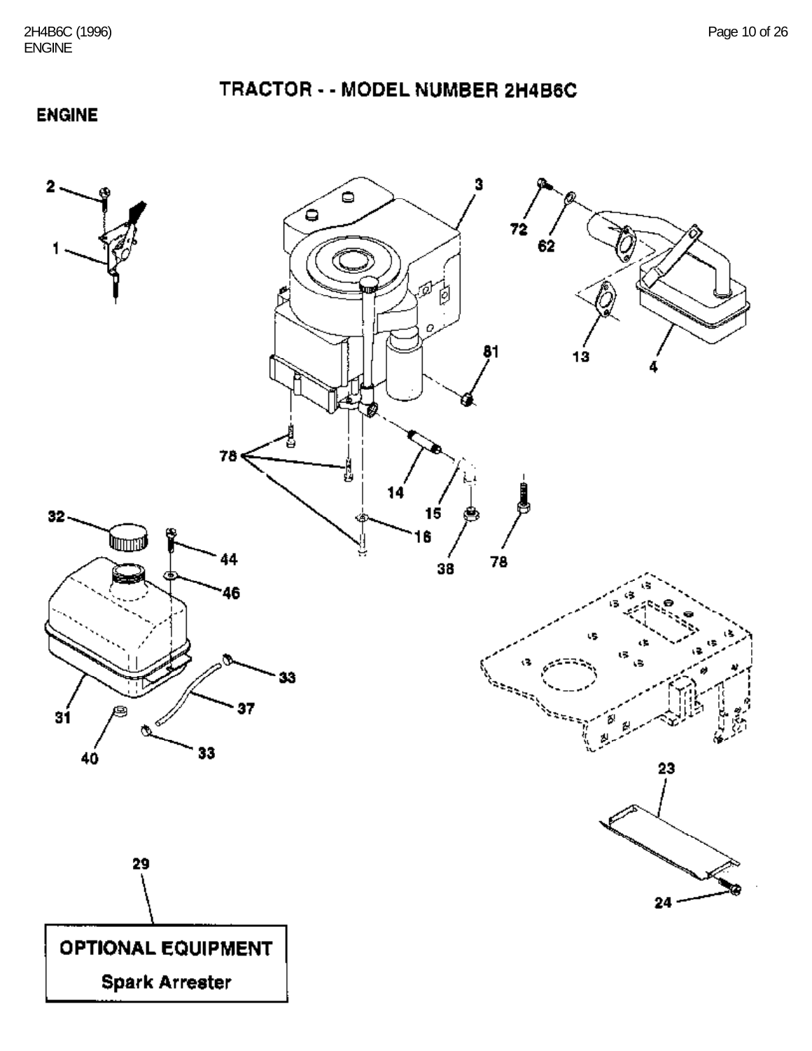TRACTOR - - MODEL NUMBER 2H4B6C

**ENGINE** 

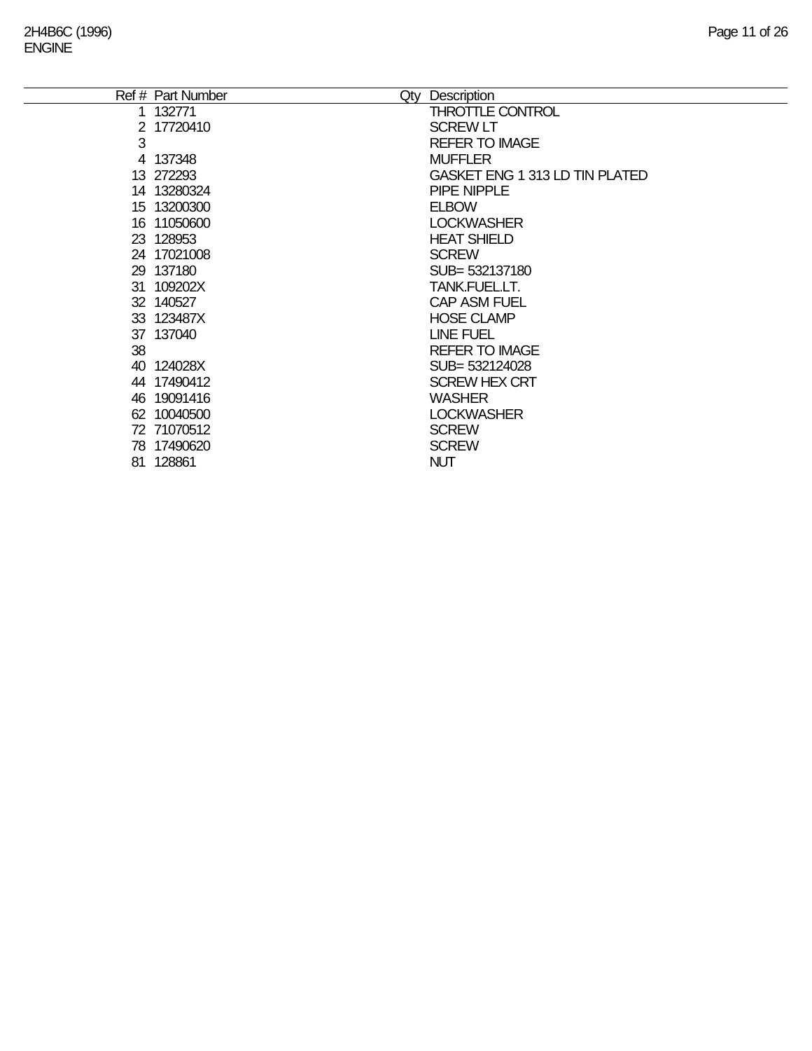|    | Ref # Part Number | Qty | Description                           |
|----|-------------------|-----|---------------------------------------|
|    | 1 132771          |     | <b>THROTTLE CONTROL</b>               |
|    | 2 17720410        |     | <b>SCREW LT</b>                       |
| 3  |                   |     | <b>REFER TO IMAGE</b>                 |
|    | 4 137348          |     | <b>MUFFLER</b>                        |
|    | 13 272293         |     | <b>GASKET ENG 1 313 LD TIN PLATED</b> |
|    | 14 13280324       |     | PIPE NIPPLE                           |
|    | 15 13200300       |     | <b>ELBOW</b>                          |
|    | 16 11050600       |     | <b>LOCKWASHER</b>                     |
|    | 23 128953         |     | <b>HEAT SHIELD</b>                    |
|    | 24 17021008       |     | <b>SCREW</b>                          |
|    | 29 137180         |     | SUB= 532137180                        |
|    | 31 109202X        |     | TANK.FUEL.LT.                         |
|    | 32 140527         |     | <b>CAP ASM FUEL</b>                   |
|    | 33 123487X        |     | <b>HOSE CLAMP</b>                     |
|    | 37 137040         |     | <b>LINE FUEL</b>                      |
| 38 |                   |     | <b>REFER TO IMAGE</b>                 |
|    | 40 124028X        |     | SUB= 532124028                        |
|    | 44 17490412       |     | <b>SCREW HEX CRT</b>                  |
|    | 46 19091416       |     | <b>WASHER</b>                         |
|    | 62 10040500       |     | <b>LOCKWASHER</b>                     |
|    | 72 71070512       |     | <b>SCREW</b>                          |
|    | 78 17490620       |     | <b>SCREW</b>                          |
|    | 81 128861         |     | <b>NUT</b>                            |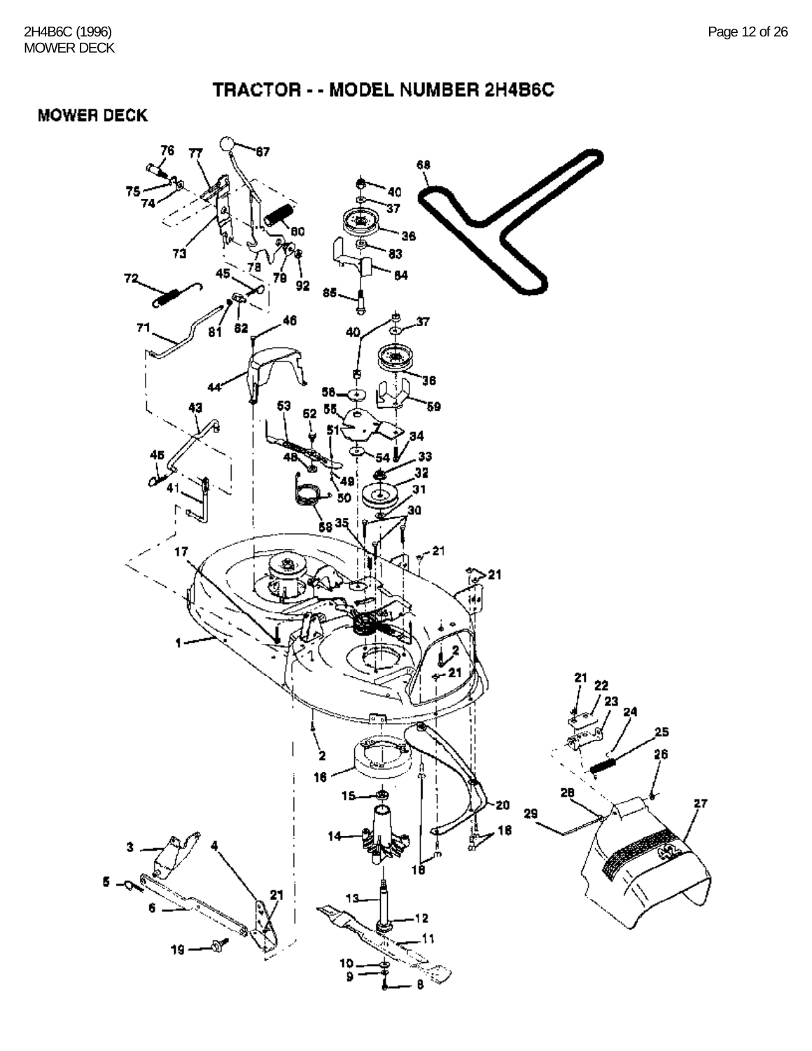### **MOWER DECK**

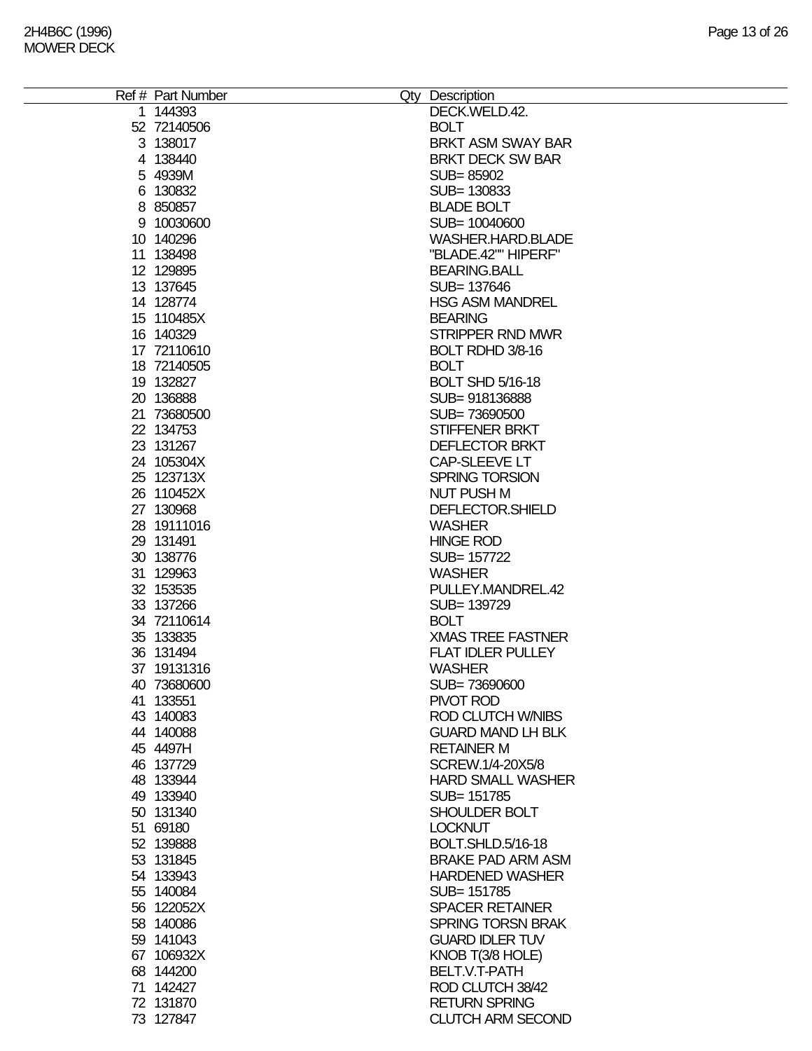| Ref # Part Number | Qty Description          |
|-------------------|--------------------------|
| 1 144393          | DECK.WELD.42.            |
| 52 72140506       | <b>BOLT</b>              |
| 3 138017          | <b>BRKT ASM SWAY BAR</b> |
|                   |                          |
| 4 138440          | <b>BRKT DECK SW BAR</b>  |
| 5 4939M           | SUB=85902                |
| 6 130832          | SUB= 130833              |
| 8 850857          | <b>BLADE BOLT</b>        |
| 9 10030600        | SUB= 10040600            |
|                   |                          |
| 10 140296         | WASHER.HARD.BLADE        |
| 11 138498         | "BLADE.42"" HIPERF"      |
| 12 129895         | <b>BEARING.BALL</b>      |
| 13 137645         | SUB= 137646              |
| 14 128774         | <b>HSG ASM MANDREL</b>   |
|                   |                          |
| 15 110485X        | <b>BEARING</b>           |
| 16 140329         | <b>STRIPPER RND MWR</b>  |
| 17 72110610       | BOLT RDHD 3/8-16         |
| 18 72140505       | <b>BOLT</b>              |
| 19 132827         | <b>BOLT SHD 5/16-18</b>  |
| 20 136888         | SUB=918136888            |
|                   |                          |
| 21 73680500       | SUB=73690500             |
| 22 134753         | STIFFENER BRKT           |
| 23 131267         | <b>DEFLECTOR BRKT</b>    |
| 24 105304X        | CAP-SLEEVE LT            |
| 25 123713X        | <b>SPRING TORSION</b>    |
|                   | <b>NUT PUSH M</b>        |
| 26 110452X        |                          |
| 27 130968         | DEFLECTOR.SHIELD         |
| 28 19111016       | <b>WASHER</b>            |
| 29 131491         | <b>HINGE ROD</b>         |
| 30 138776         | SUB= 157722              |
| 31 129963         | <b>WASHER</b>            |
|                   |                          |
| 32 153535         | PULLEY.MANDREL.42        |
| 33 137266         | SUB= 139729              |
| 34 72110614       | <b>BOLT</b>              |
| 35 133835         | <b>XMAS TREE FASTNER</b> |
| 36 131494         | <b>FLAT IDLER PULLEY</b> |
| 37 19131316       | <b>WASHER</b>            |
|                   |                          |
| 40 73680600       | SUB=73690600             |
| 41 133551         | PIVOT ROD                |
| 43 140083         | ROD CLUTCH W/NIBS        |
| 44 140088         | <b>GUARD MAND LH BLK</b> |
| 45 4497H          | <b>RETAINER M</b>        |
| 46 137729         | SCREW.1/4-20X5/8         |
|                   |                          |
| 48 133944         | <b>HARD SMALL WASHER</b> |
| 49 133940         | SUB= 151785              |
| 50 131340         | SHOULDER BOLT            |
| 51 69180          | <b>LOCKNUT</b>           |
| 52 139888         | BOLT.SHLD.5/16-18        |
| 53 131845         | <b>BRAKE PAD ARM ASM</b> |
|                   |                          |
| 54 133943         | <b>HARDENED WASHER</b>   |
| 55 140084         | SUB= 151785              |
| 56 122052X        | <b>SPACER RETAINER</b>   |
| 58 140086         | <b>SPRING TORSN BRAK</b> |
| 59 141043         | <b>GUARD IDLER TUV</b>   |
|                   |                          |
| 67 106932X        | KNOB T(3/8 HOLE)         |
| 68 144200         | BELT.V.T-PATH            |
| 71 142427         | ROD CLUTCH 38/42         |
| 72 131870         | <b>RETURN SPRING</b>     |
| 73 127847         | <b>CLUTCH ARM SECOND</b> |
|                   |                          |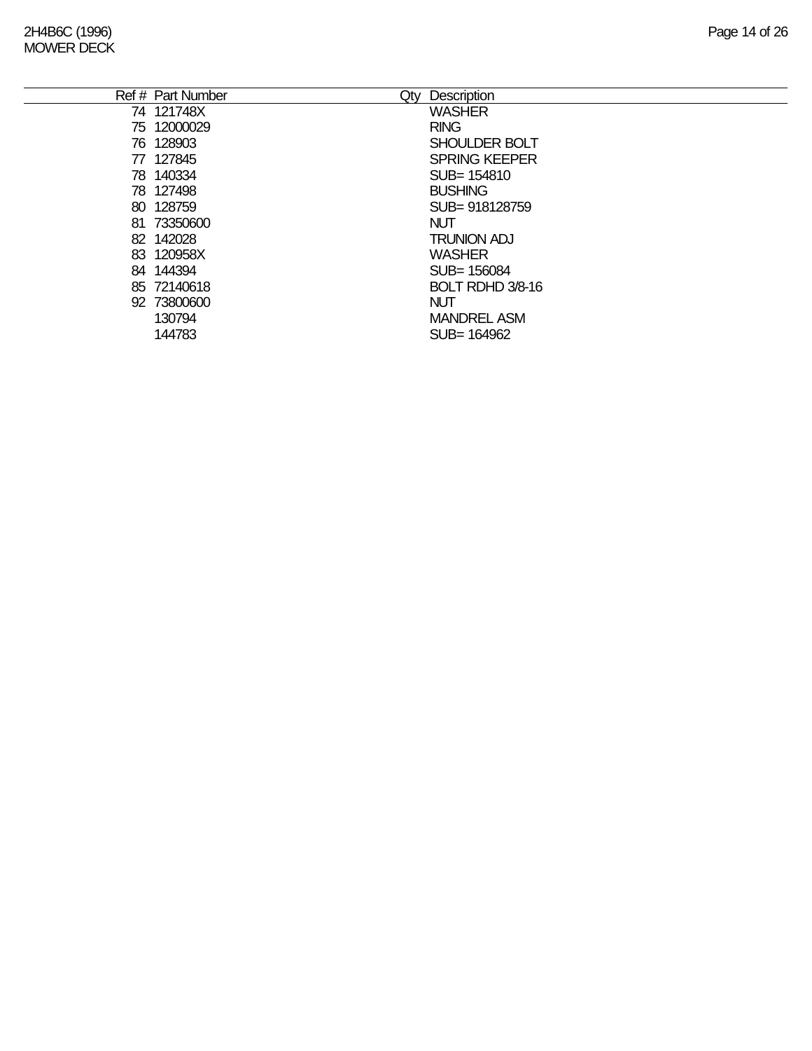| Ref # Part Number | Description<br>Qty   |
|-------------------|----------------------|
| 74 121748X        | <b>WASHER</b>        |
| 75 12000029       | <b>RING</b>          |
| 76 128903         | SHOULDER BOLT        |
| 77 127845         | <b>SPRING KEEPER</b> |
| 78 140334         | SUB= 154810          |
| 78 127498         | <b>BUSHING</b>       |
| 80 128759         | SUB=918128759        |
| 81 73350600       | <b>NUT</b>           |
| 82 142028         | <b>TRUNION ADJ</b>   |
| 83 120958X        | <b>WASHER</b>        |
| 84 144394         | SUB= 156084          |
| 85 72140618       | BOLT RDHD 3/8-16     |
| 92 73800600       | <b>NUT</b>           |
| 130794            | <b>MANDREL ASM</b>   |
| 144783            | SUB= 164962          |
|                   |                      |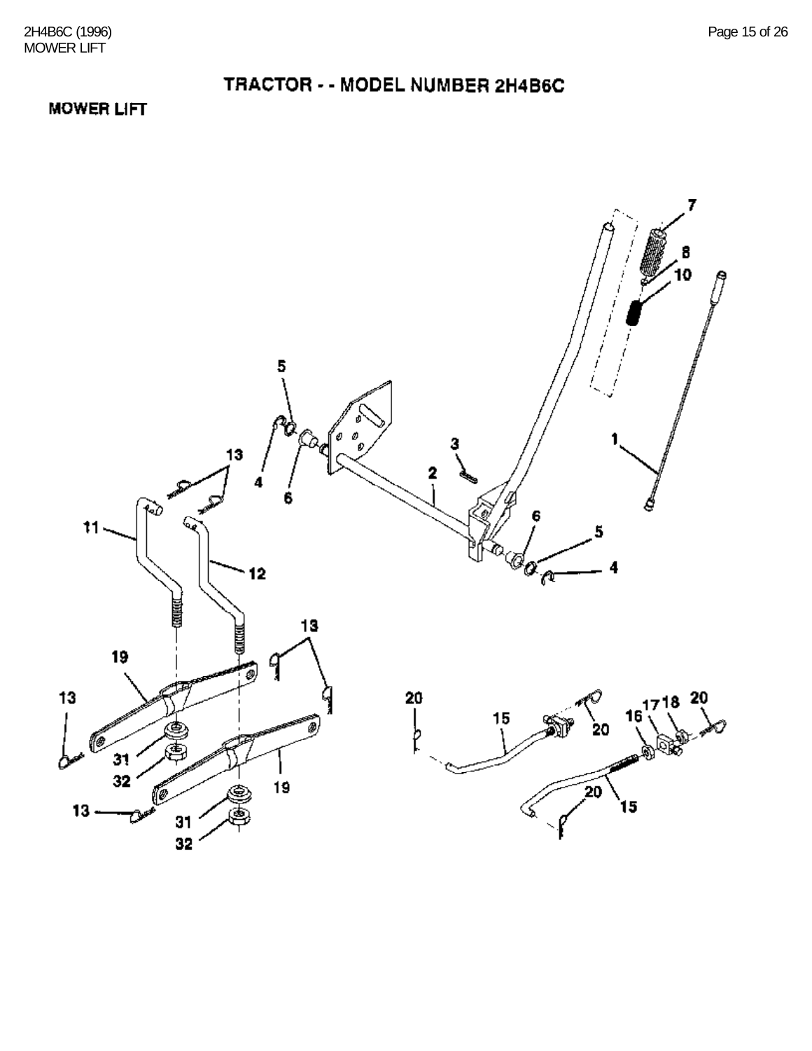#### **MOWER LIFT**

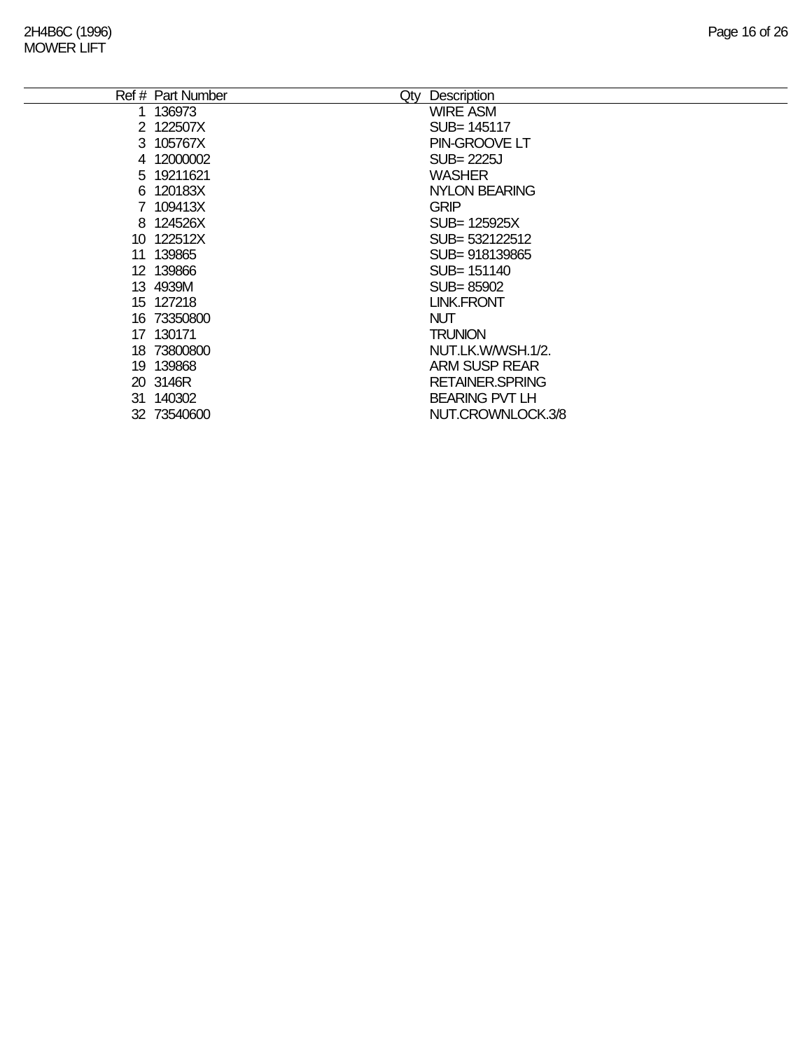|    | Ref # Part Number<br>Qty | Description             |
|----|--------------------------|-------------------------|
|    | 136973                   | <b>WIRE ASM</b>         |
|    | 2 122507X                | SUB= 145117             |
|    | 3 105767X                | PIN-GROOVE LT           |
|    | 4 12000002               | <b>SUB=2225J</b>        |
|    | 5 19211621               | <b>WASHER</b>           |
|    | 6 120183X                | <b>NYLON BEARING</b>    |
|    | 7 109413X                | <b>GRIP</b>             |
|    | 8 124526X                | SUB= 125925X            |
|    | 10 122512X               | SUB= 532122512          |
| 11 | 139865                   | SUB= 918139865          |
|    | 12 139866                | SUB= 151140             |
|    | 13 4939M                 | SUB=85902               |
|    | 15 127218                | <b>LINK.FRONT</b>       |
|    | 16 73350800              | <b>NUT</b>              |
|    | 17 130171                | <b>TRUNION</b>          |
|    | 18 73800800              | NUT.LK.W/WSH.1/2.       |
|    | 19 139868                | ARM SUSP REAR           |
|    | 20 3146R                 | <b>RETAINER, SPRING</b> |
|    | 31 140302                | <b>BEARING PVT LH</b>   |
|    | 32 73540600              | NUT.CROWNLOCK.3/8       |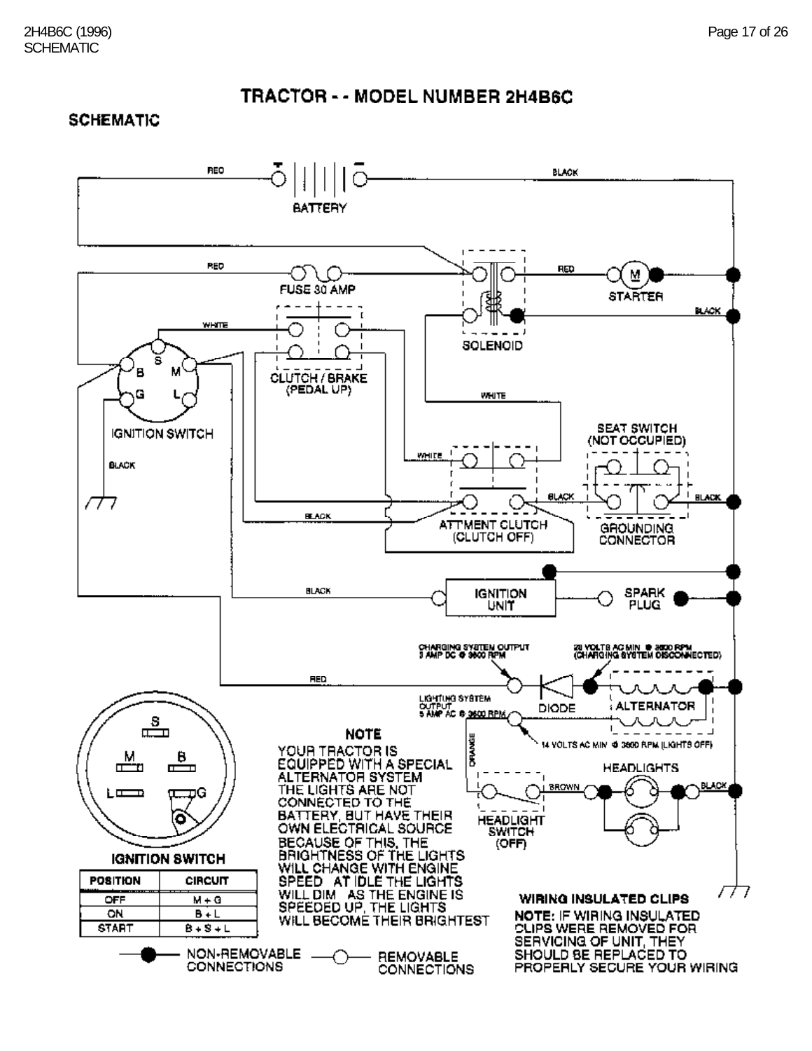#### **SCHEMATIC**

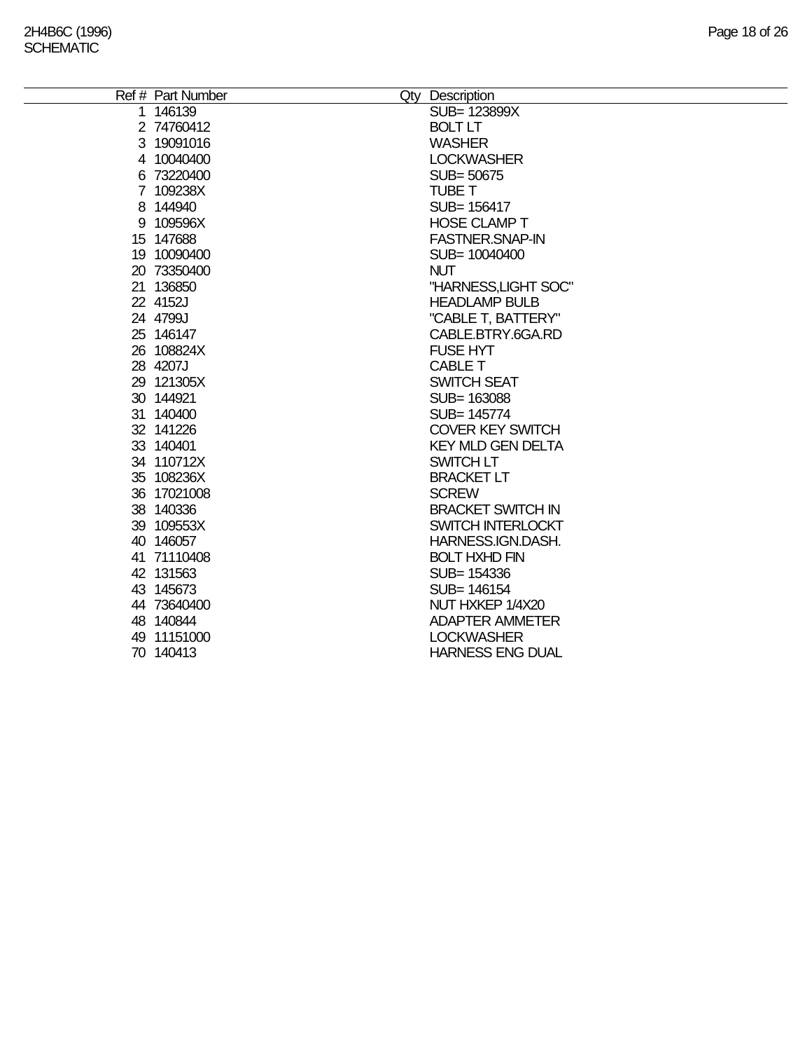| Ref # Part Number<br>Qty Description  |  |
|---------------------------------------|--|
| SUB= 123899X<br>1 146139              |  |
| <b>BOLT LT</b><br>2 74760412          |  |
| 3 19091016<br><b>WASHER</b>           |  |
| 4 10040400<br><b>LOCKWASHER</b>       |  |
| 6 73220400<br>SUB= 50675              |  |
| <b>TUBE T</b><br>7 109238X            |  |
| 8 144940<br>SUB= 156417               |  |
| <b>HOSE CLAMP T</b><br>9 109596X      |  |
| 15 147688<br><b>FASTNER.SNAP-IN</b>   |  |
| 19 10090400<br>SUB= 10040400          |  |
| 20 73350400<br><b>NUT</b>             |  |
| 21 136850<br>"HARNESS, LIGHT SOC"     |  |
| 22 4152J<br><b>HEADLAMP BULB</b>      |  |
| 24 4799J<br>"CABLE T, BATTERY"        |  |
| 25 146147<br>CABLE.BTRY.6GA.RD        |  |
| 26 108824X<br><b>FUSE HYT</b>         |  |
| 28 4207J<br><b>CABLE T</b>            |  |
| 29 121305X<br><b>SWITCH SEAT</b>      |  |
| 30 144921<br>SUB= 163088              |  |
| 31 140400<br>SUB= 145774              |  |
| 32 141226<br><b>COVER KEY SWITCH</b>  |  |
| <b>KEY MLD GEN DELTA</b><br>33 140401 |  |
| 34 110712X<br>SWITCH LT               |  |
| <b>BRACKET LT</b><br>35 108236X       |  |
| 36 17021008<br><b>SCREW</b>           |  |
| <b>BRACKET SWITCH IN</b><br>38 140336 |  |
| SWITCH INTERLOCKT<br>39 109553X       |  |
| 40 146057<br>HARNESS.IGN.DASH.        |  |
| <b>BOLT HXHD FIN</b><br>41 71110408   |  |
| 42 131563<br>SUB= 154336              |  |
| 43 145673<br>SUB= 146154              |  |
| NUT HXKEP 1/4X20<br>44 73640400       |  |
| 48 140844<br><b>ADAPTER AMMETER</b>   |  |
| <b>LOCKWASHER</b><br>49 11151000      |  |
| <b>HARNESS ENG DUAL</b><br>70 140413  |  |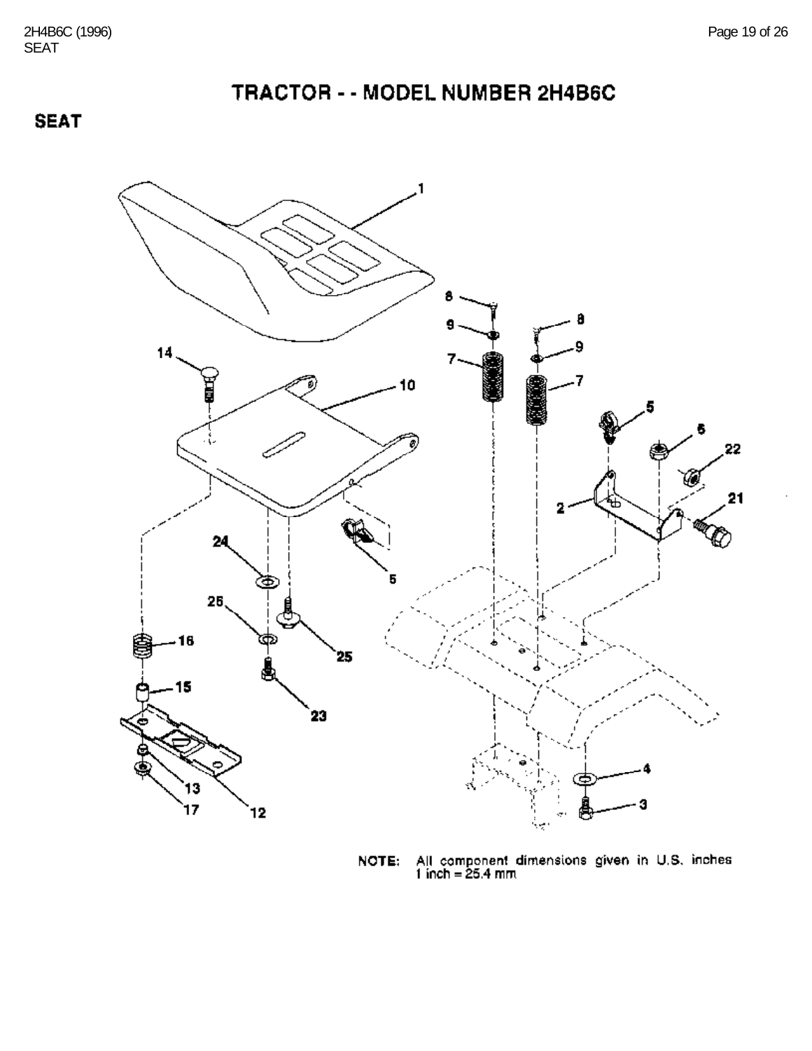**SEAT** 



All component dimensions given in U.S. inches 1 inch = 25.4 mm NOTE: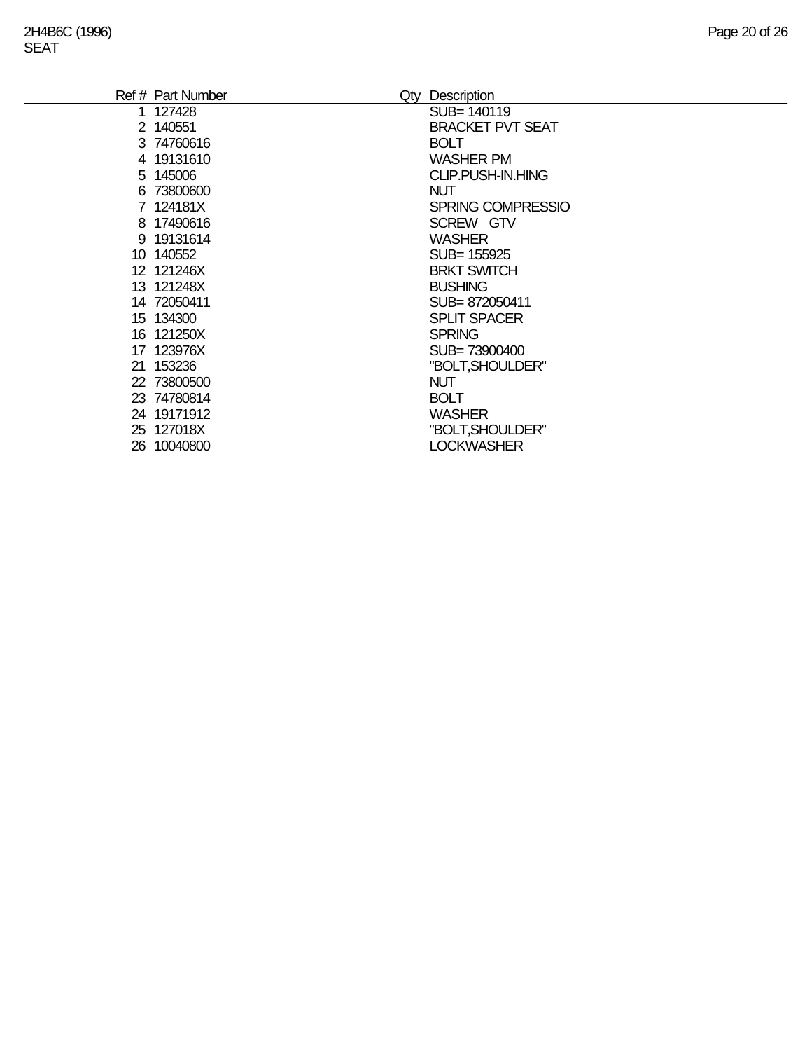| Ref # Part Number | Description<br>Qty       |
|-------------------|--------------------------|
| 1 127428          | SUB= 140119              |
| 2 140551          | <b>BRACKET PVT SEAT</b>  |
| 3 74760616        | <b>BOLT</b>              |
| 4 19131610        | <b>WASHER PM</b>         |
| 5 145006          | <b>CLIP.PUSH-IN.HING</b> |
| 6 73800600        | <b>NUT</b>               |
| 7 124181X         | <b>SPRING COMPRESSIO</b> |
| 8 17490616        | SCREW GTV                |
| 9 19131614        | <b>WASHER</b>            |
| 10 140552         | SUB= 155925              |
| 12 121246X        | <b>BRKT SWITCH</b>       |
| 13 121248X        | <b>BUSHING</b>           |
| 14 72050411       | SUB=872050411            |
| 15 134300         | <b>SPLIT SPACER</b>      |
| 16 121250X        | <b>SPRING</b>            |
| 17 123976X        | SUB=73900400             |
| 21 153236         | "BOLT, SHOULDER"         |
| 22 73800500       | <b>NUT</b>               |
| 23 74780814       | <b>BOLT</b>              |
| 24 19171912       | <b>WASHER</b>            |
| 25 127018X        | "BOLT, SHOULDER"         |
| 26 10040800       | <b>LOCKWASHER</b>        |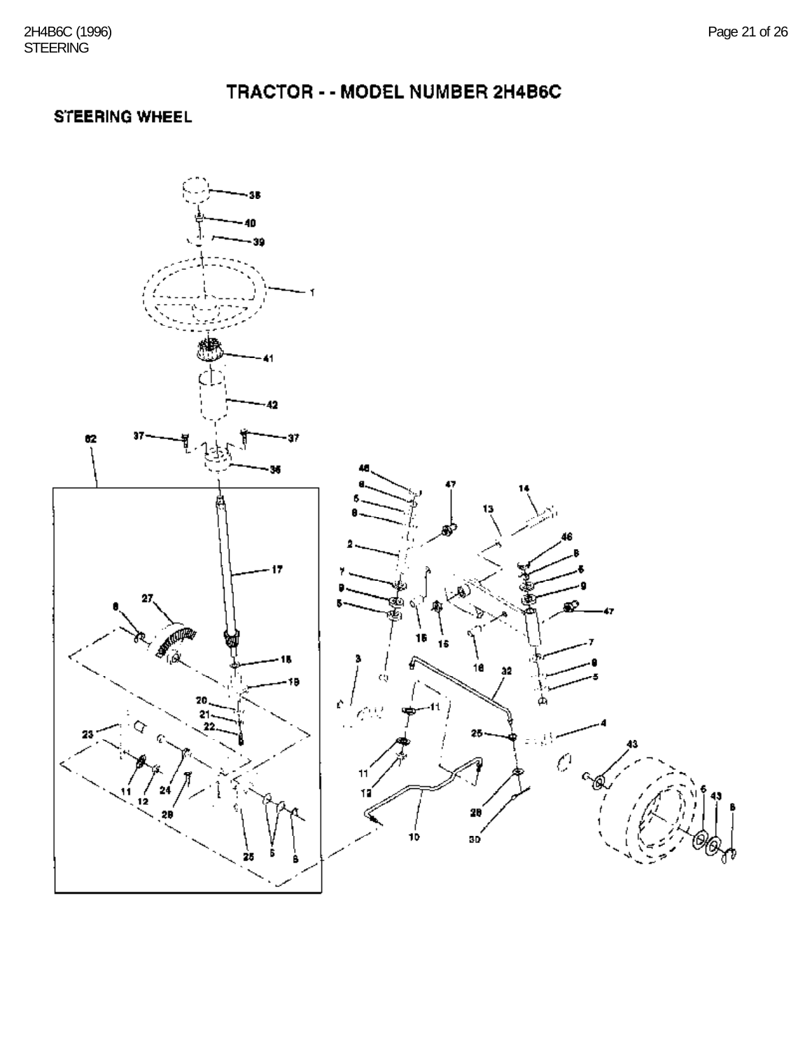#### STEERING WHEEL

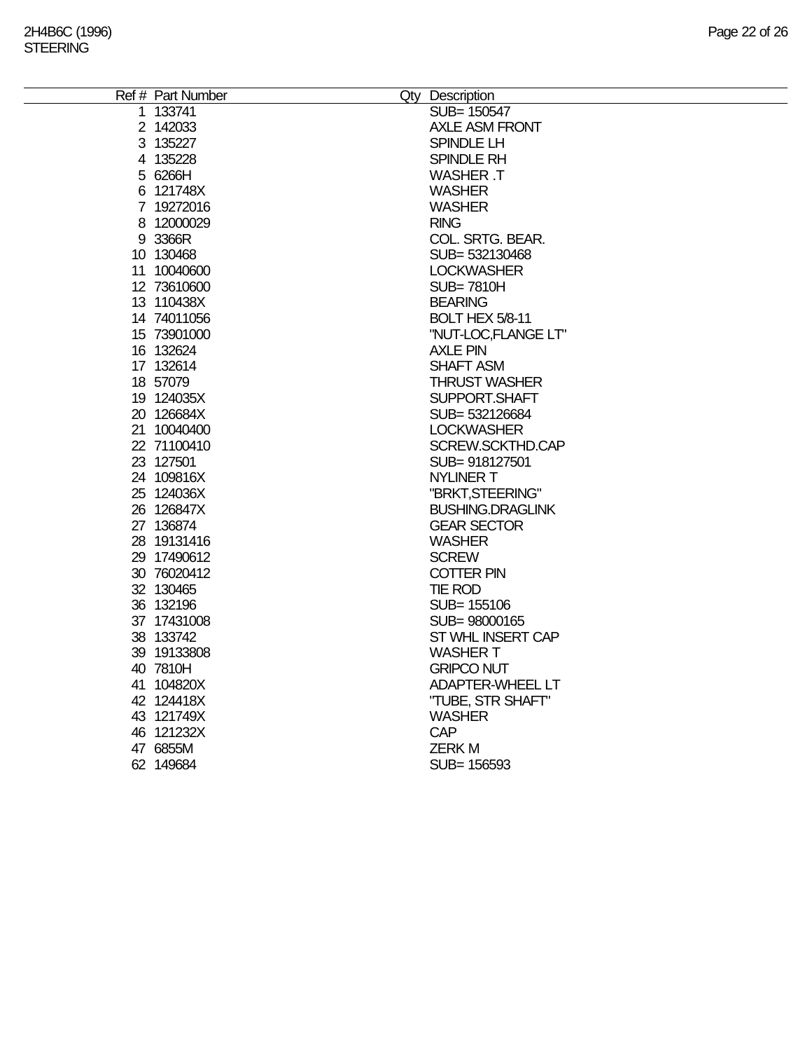| Ref # Part Number        | Qty Description                       |
|--------------------------|---------------------------------------|
| 1 133741                 | SUB= 150547                           |
| 2 142033                 | <b>AXLE ASM FRONT</b>                 |
| 3 135227                 | SPINDLE LH                            |
| 4 135228                 | SPINDLE RH                            |
| 5 6266H                  | <b>WASHER .T</b>                      |
| 6 121748X                | <b>WASHER</b>                         |
| 7 19272016               | <b>WASHER</b>                         |
| 8 12000029               | <b>RING</b>                           |
| 9 3366R                  | COL. SRTG. BEAR.                      |
| 10 130468                | SUB= 532130468                        |
| 11 10040600              | <b>LOCKWASHER</b>                     |
| 12 73610600              | <b>SUB=7810H</b>                      |
| 13 110438X               | <b>BEARING</b>                        |
| 14 74011056              | BOLT HEX 5/8-11                       |
| 15 73901000              | "NUT-LOC,FLANGE LT"                   |
| 16 132624                | <b>AXLE PIN</b>                       |
| 17 132614                | <b>SHAFT ASM</b>                      |
| 18 57079                 | <b>THRUST WASHER</b>                  |
| 19 124035X               | SUPPORT.SHAFT                         |
| 20 126684X               | SUB= 532126684                        |
| 21 10040400              | <b>LOCKWASHER</b>                     |
| 22 71100410              | SCREW.SCKTHD.CAP                      |
| 23 127501                | SUB=918127501                         |
| 24 109816X               | <b>NYLINER T</b>                      |
| 25 124036X               | "BRKT, STEERING"                      |
| 26 126847X               | <b>BUSHING.DRAGLINK</b>               |
| 27 136874                | <b>GEAR SECTOR</b>                    |
| 28 19131416              | <b>WASHER</b>                         |
| 29 17490612              | <b>SCREW</b>                          |
| 30 76020412              | <b>COTTER PIN</b>                     |
| 32 130465                | <b>TIE ROD</b>                        |
| 36 132196                | SUB= 155106                           |
| 37 17431008              | SUB= 98000165                         |
| 38 133742                | ST WHL INSERT CAP<br><b>WASHER T</b>  |
| 39 19133808              |                                       |
| 40 7810H                 | <b>GRIPCO NUT</b>                     |
| 41 104820X<br>42 124418X | ADAPTER-WHEEL LT<br>"TUBE, STR SHAFT" |
| 43 121749X               | <b>WASHER</b>                         |
| 46 121232X               | <b>CAP</b>                            |
| 47 6855M                 | <b>ZERKM</b>                          |
| 62 149 684               | SUB= 156593                           |
|                          |                                       |
|                          |                                       |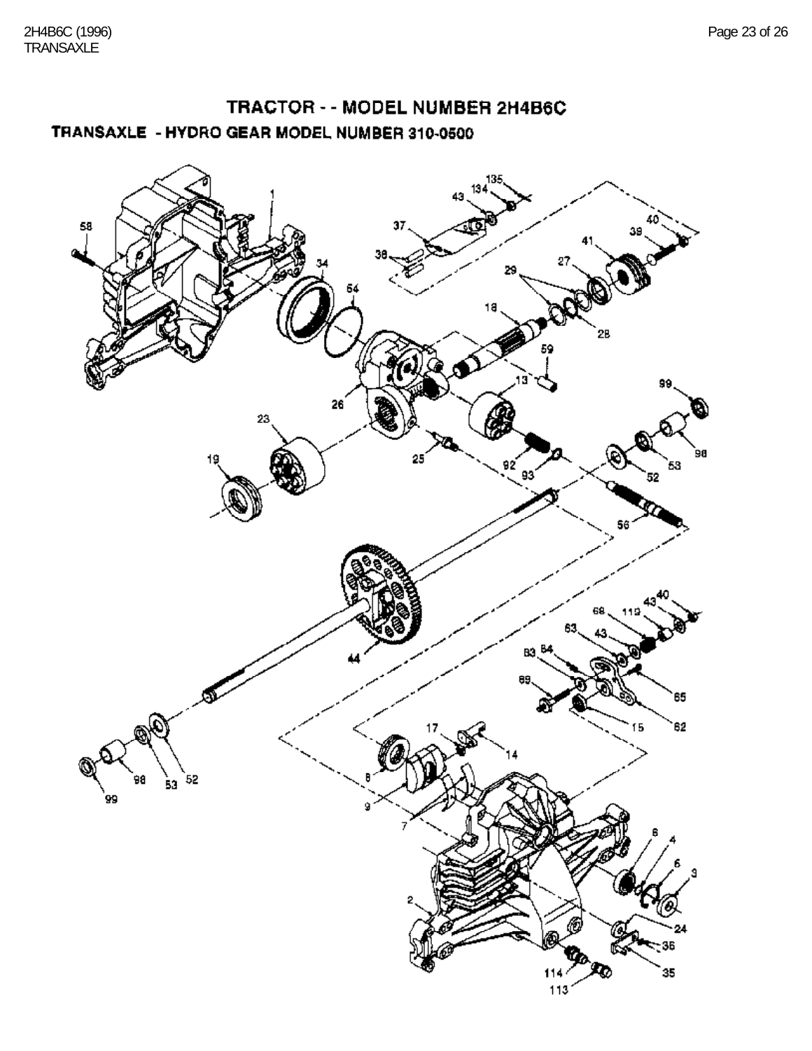## TRACTOR - - MODEL NUMBER 2H4B6C TRANSAXLE - HYDRO GEAR MODEL NUMBER 310-0500

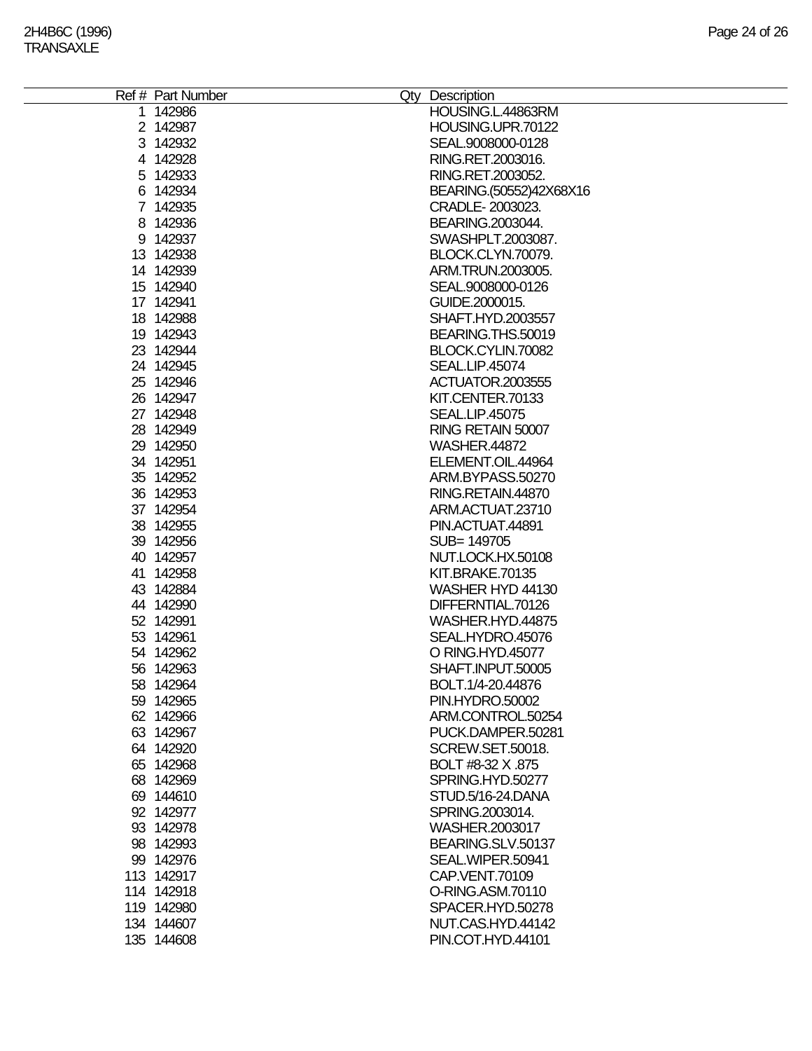| Ref # Part Number | Qty Description         |
|-------------------|-------------------------|
| 1 142986          | HOUSING.L.44863RM       |
| 2 142987          | HOUSING UPR 70122       |
| 3 142932          | SEAL.9008000-0128       |
| 4 142928          | RING.RET.2003016.       |
| 5 142933          | RING.RET.2003052.       |
| 6 142934          | BEARING.(50552)42X68X16 |
| 7 142935          | CRADLE-2003023.         |
| 8 142936          | BEARING.2003044.        |
| 9 142937          | SWASHPLT.2003087.       |
| 13 142938         | BLOCK.CLYN.70079.       |
|                   |                         |
| 14 142939         | ARM.TRUN.2003005.       |
| 15 142940         | SEAL.9008000-0126       |
| 17 142941         | GUIDE.2000015.          |
| 18 142988         | SHAFT.HYD.2003557       |
| 19 142943         | BEARING.THS.50019       |
| 23 142944         | BLOCK.CYLIN.70082       |
| 24 142945         | <b>SEAL.LIP.45074</b>   |
| 25 142946         | ACTUATOR.2003555        |
| 26 142947         | KIT.CENTER.70133        |
| 27 142948         | <b>SEAL.LIP.45075</b>   |
| 28 142949         | RING RETAIN 50007       |
| 29 142950         | <b>WASHER.44872</b>     |
| 34 142951         | ELEMENT.OIL.44964       |
| 35 142952         | ARM.BYPASS.50270        |
| 36 142953         | RING.RETAIN.44870       |
| 37 142954         | ARM.ACTUAT.23710        |
| 38 142955         | PIN.ACTUAT.44891        |
|                   |                         |
| 39 142956         | SUB= 149705             |
| 40 142957         | NUT.LOCK.HX.50108       |
| 41 142958         | KIT.BRAKE.70135         |
| 43 142884         | WASHER HYD 44130        |
| 44 142990         | DIFFERNTIAL.70126       |
| 52 142991         | WASHER.HYD.44875        |
| 53 142961         | SEAL.HYDRO.45076        |
| 54 142962         | O RING.HYD.45077        |
| 56 142963         | SHAFT.INPUT.50005       |
| 58 142964         | BOLT.1/4-20.44876       |
| 59 1429 65        | PIN.HYDRO.50002         |
| 62 142966         | ARM.CONTROL.50254       |
| 63 142967         | PUCK.DAMPER.50281       |
| 64 142920         | SCREW.SET.50018.        |
| 65 142968         | BOLT #8-32 X .875       |
| 68 142969         | SPRING.HYD.50277        |
| 69 144610         | STUD.5/16-24.DANA       |
| 92 142977         | SPRING.2003014.         |
|                   | WASHER.2003017          |
| 93 142978         |                         |
| 98 142993         | BEARING.SLV.50137       |
| 99 142976         | SEAL.WIPER.50941        |
| 113 142917        | CAP.VENT.70109          |
| 114 142918        | O-RING.ASM.70110        |
| 119 142980        | SPACER.HYD.50278        |
| 134 144607        | NUT.CAS.HYD.44142       |
| 135 144608        | PIN.COT.HYD.44101       |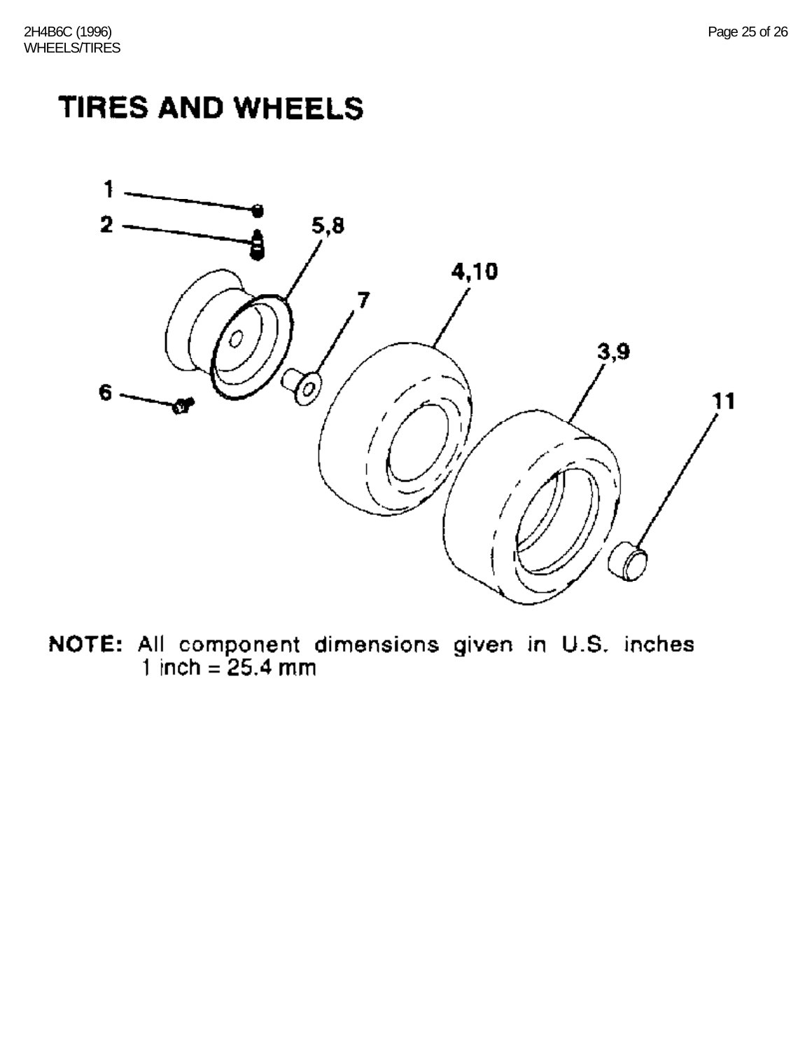# **TIRES AND WHEELS**



**NOTE:** All component dimensions given in U.S. inches  $1$  inch = 25.4 mm